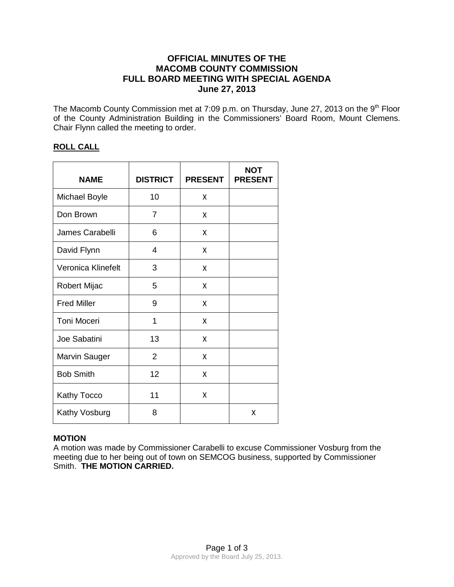# **OFFICIAL MINUTES OF THE MACOMB COUNTY COMMISSION FULL BOARD MEETING WITH SPECIAL AGENDA June 27, 2013**

The Macomb County Commission met at 7:09 p.m. on Thursday, June 27, 2013 on the 9<sup>th</sup> Floor of the County Administration Building in the Commissioners' Board Room, Mount Clemens. Chair Flynn called the meeting to order.

# **ROLL CALL**

| <b>NAME</b>          | <b>DISTRICT</b> | <b>PRESENT</b> | <b>NOT</b><br><b>PRESENT</b> |
|----------------------|-----------------|----------------|------------------------------|
| <b>Michael Boyle</b> | 10              | x              |                              |
| Don Brown            | $\overline{7}$  | x              |                              |
| James Carabelli      | 6               | X              |                              |
| David Flynn          | 4               | x              |                              |
| Veronica Klinefelt   | 3               | X              |                              |
| Robert Mijac         | 5               | x              |                              |
| <b>Fred Miller</b>   | 9               | x              |                              |
| Toni Moceri          | 1               | x              |                              |
| Joe Sabatini         | 13              | x              |                              |
| Marvin Sauger        | 2               | X              |                              |
| <b>Bob Smith</b>     | 12              | X              |                              |
| Kathy Tocco          | 11              | X              |                              |
| Kathy Vosburg        | 8               |                | Χ                            |

## **MOTION**

A motion was made by Commissioner Carabelli to excuse Commissioner Vosburg from the meeting due to her being out of town on SEMCOG business, supported by Commissioner Smith. **THE MOTION CARRIED.**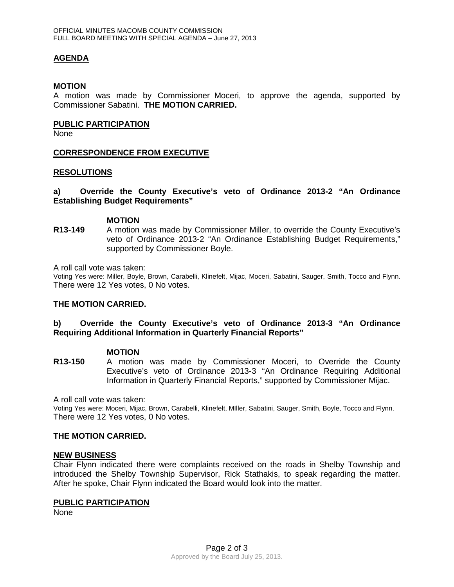## **AGENDA**

#### **MOTION**

A motion was made by Commissioner Moceri, to approve the agenda, supported by Commissioner Sabatini. **THE MOTION CARRIED.** 

#### **PUBLIC PARTICIPATION**

None

## **CORRESPONDENCE FROM EXECUTIVE**

#### **RESOLUTIONS**

## **a) Override the County Executive's veto of Ordinance 2013-2 "An Ordinance Establishing Budget Requirements"**

#### **MOTION**

**R13-149** A motion was made by Commissioner Miller, to override the County Executive's veto of Ordinance 2013-2 "An Ordinance Establishing Budget Requirements," supported by Commissioner Boyle.

A roll call vote was taken:

Voting Yes were: Miller, Boyle, Brown, Carabelli, Klinefelt, Mijac, Moceri, Sabatini, Sauger, Smith, Tocco and Flynn. There were 12 Yes votes, 0 No votes.

## **THE MOTION CARRIED.**

## **b) Override the County Executive's veto of Ordinance 2013-3 "An Ordinance Requiring Additional Information in Quarterly Financial Reports"**

#### **MOTION**

**R13-150** A motion was made by Commissioner Moceri, to Override the County Executive's veto of Ordinance 2013-3 "An Ordinance Requiring Additional Information in Quarterly Financial Reports," supported by Commissioner Mijac.

A roll call vote was taken:

Voting Yes were: Moceri, Mijac, Brown, Carabelli, Klinefelt, MIller, Sabatini, Sauger, Smith, Boyle, Tocco and Flynn. There were 12 Yes votes, 0 No votes.

## **THE MOTION CARRIED.**

#### **NEW BUSINESS**

Chair Flynn indicated there were complaints received on the roads in Shelby Township and introduced the Shelby Township Supervisor, Rick Stathakis, to speak regarding the matter. After he spoke, Chair Flynn indicated the Board would look into the matter.

#### **PUBLIC PARTICIPATION**

None